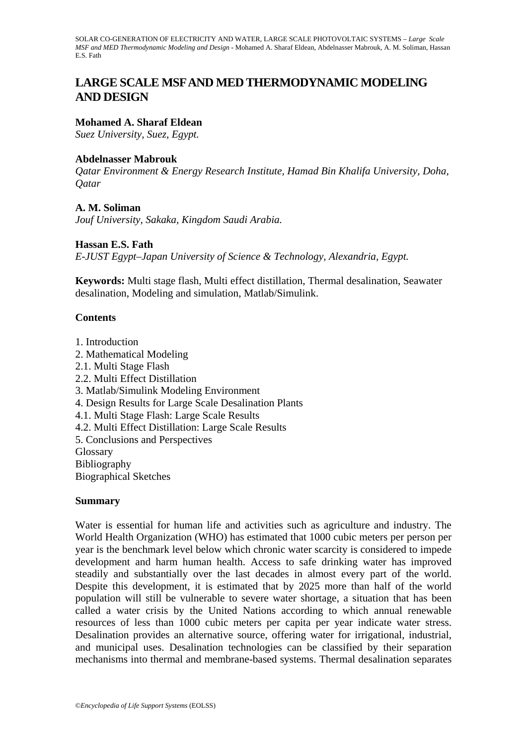# **LARGE SCALE MSF AND MED THERMODYNAMIC MODELING AND DESIGN**

#### **Mohamed A. Sharaf Eldean**

*Suez University, Suez, Egypt.*

#### **Abdelnasser Mabrouk**

*Qatar Environment & Energy Research Institute, Hamad Bin Khalifa University, Doha, Qatar* 

#### **A. M. Soliman**

*Jouf University, Sakaka, Kingdom Saudi Arabia.* 

#### **Hassan E.S. Fath**

*E-JUST Egypt–Japan University of Science & Technology, Alexandria, Egypt.* 

**Keywords:** Multi stage flash, Multi effect distillation, Thermal desalination, Seawater desalination, Modeling and simulation, Matlab/Simulink.

#### **Contents**

1. Introduction 2. Mathematical Modeling 2.1. Multi Stage Flash 2.2. Multi Effect Distillation 3. Matlab/Simulink Modeling Environment 4. Design Results for Large Scale Desalination Plants 4.1. Multi Stage Flash: Large Scale Results 4.2. Multi Effect Distillation: Large Scale Results 5. Conclusions and Perspectives **Glossary** Bibliography Biographical Sketches

#### **Summary**

Water is essential for human life and activities such as agriculture and industry. The World Health Organization (WHO) has estimated that 1000 cubic meters per person per year is the benchmark level below which chronic water scarcity is considered to impede development and harm human health. Access to safe drinking water has improved steadily and substantially over the last decades in almost every part of the world. Despite this development, it is estimated that by 2025 more than half of the world population will still be vulnerable to severe water shortage, a situation that has been called a water crisis by the United Nations according to which annual renewable resources of less than 1000 cubic meters per capita per year indicate water stress. Desalination provides an alternative source, offering water for irrigational, industrial, and municipal uses. Desalination technologies can be classified by their separation mechanisms into thermal and membrane-based systems. Thermal desalination separates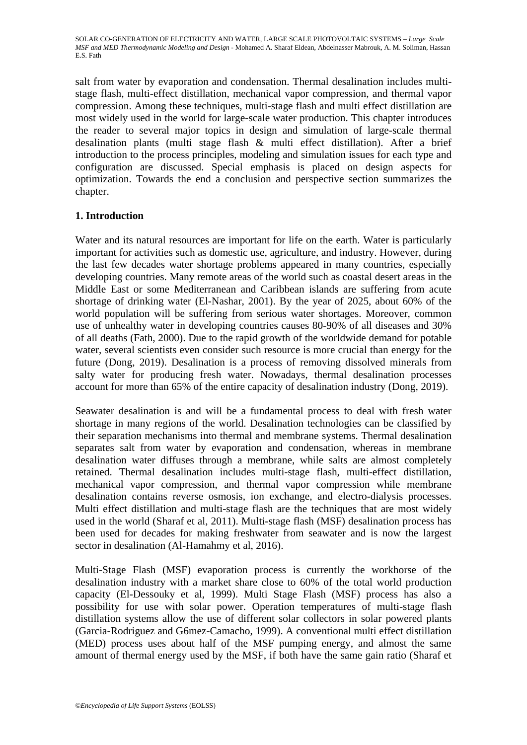salt from water by evaporation and condensation. Thermal desalination includes multistage flash, multi-effect distillation, mechanical vapor compression, and thermal vapor compression. Among these techniques, multi-stage flash and multi effect distillation are most widely used in the world for large-scale water production. This chapter introduces the reader to several major topics in design and simulation of large-scale thermal desalination plants (multi stage flash & multi effect distillation). After a brief introduction to the process principles, modeling and simulation issues for each type and configuration are discussed. Special emphasis is placed on design aspects for optimization. Towards the end a conclusion and perspective section summarizes the chapter.

### **1. Introduction**

Water and its natural resources are important for life on the earth. Water is particularly important for activities such as domestic use, agriculture, and industry. However, during the last few decades water shortage problems appeared in many countries, especially developing countries. Many remote areas of the world such as coastal desert areas in the Middle East or some Mediterranean and Caribbean islands are suffering from acute shortage of drinking water (El-Nashar, 2001). By the year of 2025, about 60% of the world population will be suffering from serious water shortages. Moreover, common use of unhealthy water in developing countries causes 80-90% of all diseases and 30% of all deaths (Fath, 2000). Due to the rapid growth of the worldwide demand for potable water, several scientists even consider such resource is more crucial than energy for the future (Dong, 2019). Desalination is a process of removing dissolved minerals from salty water for producing fresh water. Nowadays, thermal desalination processes account for more than 65% of the entire capacity of desalination industry (Dong, 2019).

Seawater desalination is and will be a fundamental process to deal with fresh water shortage in many regions of the world. Desalination technologies can be classified by their separation mechanisms into thermal and membrane systems. Thermal desalination separates salt from water by evaporation and condensation, whereas in membrane desalination water diffuses through a membrane, while salts are almost completely retained. Thermal desalination includes multi-stage flash, multi-effect distillation, mechanical vapor compression, and thermal vapor compression while membrane desalination contains reverse osmosis, ion exchange, and electro-dialysis processes. Multi effect distillation and multi-stage flash are the techniques that are most widely used in the world (Sharaf et al, 2011). Multi-stage flash (MSF) desalination process has been used for decades for making freshwater from seawater and is now the largest sector in desalination (Al-Hamahmy et al, 2016).

Multi-Stage Flash (MSF) evaporation process is currently the workhorse of the desalination industry with a market share close to 60% of the total world production capacity (El-Dessouky et al, 1999). Multi Stage Flash (MSF) process has also a possibility for use with solar power. Operation temperatures of multi-stage flash distillation systems allow the use of different solar collectors in solar powered plants (Garcia-Rodriguez and G6mez-Camacho, 1999). A conventional multi effect distillation (MED) process uses about half of the MSF pumping energy, and almost the same amount of thermal energy used by the MSF, if both have the same gain ratio (Sharaf et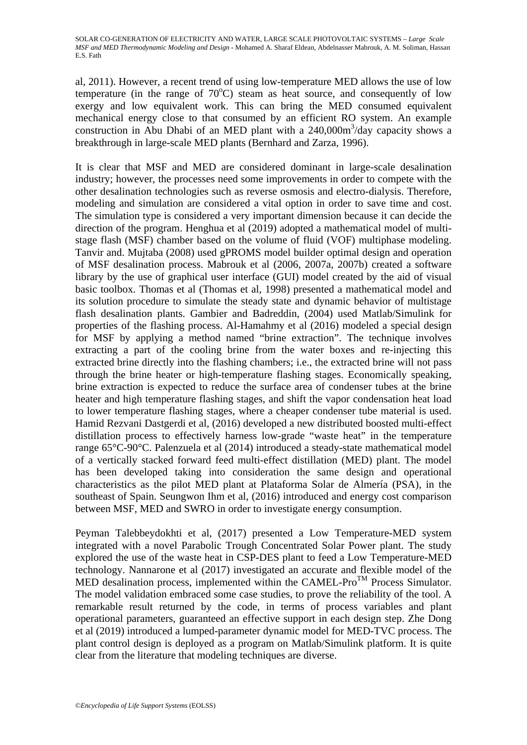al, 2011). However, a recent trend of using low-temperature MED allows the use of low temperature (in the range of  $70^{\circ}$ C) steam as heat source, and consequently of low exergy and low equivalent work. This can bring the MED consumed equivalent mechanical energy close to that consumed by an efficient RO system. An example construction in Abu Dhabi of an MED plant with a  $240,000$ m<sup>3</sup>/day capacity shows a breakthrough in large-scale MED plants (Bernhard and Zarza, 1996).

It is clear that MSF and MED are considered dominant in large-scale desalination industry; however, the processes need some improvements in order to compete with the other desalination technologies such as reverse osmosis and electro-dialysis. Therefore, modeling and simulation are considered a vital option in order to save time and cost. The simulation type is considered a very important dimension because it can decide the direction of the program. Henghua et al (2019) adopted a mathematical model of multistage flash (MSF) chamber based on the volume of fluid (VOF) multiphase modeling. Tanvir and. Mujtaba (2008) used gPROMS model builder optimal design and operation of MSF desalination process. Mabrouk et al (2006, 2007a, 2007b) created a software library by the use of graphical user interface (GUI) model created by the aid of visual basic toolbox. Thomas et al (Thomas et al, 1998) presented a mathematical model and its solution procedure to simulate the steady state and dynamic behavior of multistage flash desalination plants. Gambier and Badreddin, (2004) used Matlab/Simulink for properties of the flashing process. Al-Hamahmy et al (2016) modeled a special design for MSF by applying a method named "brine extraction". The technique involves extracting a part of the cooling brine from the water boxes and re-injecting this extracted brine directly into the flashing chambers; i.e., the extracted brine will not pass through the brine heater or high-temperature flashing stages. Economically speaking, brine extraction is expected to reduce the surface area of condenser tubes at the brine heater and high temperature flashing stages, and shift the vapor condensation heat load to lower temperature flashing stages, where a cheaper condenser tube material is used. Hamid Rezvani Dastgerdi et al, (2016) developed a new distributed boosted multi-effect distillation process to effectively harness low-grade "waste heat" in the temperature range 65°C-90°C. Palenzuela et al (2014) introduced a steady-state mathematical model of a vertically stacked forward feed multi-effect distillation (MED) plant. The model has been developed taking into consideration the same design and operational characteristics as the pilot MED plant at Plataforma Solar de Almería (PSA), in the southeast of Spain. Seungwon Ihm et al, (2016) introduced and energy cost comparison between MSF, MED and SWRO in order to investigate energy consumption.

Peyman Talebbeydokhti et al, (2017) presented a Low Temperature-MED system integrated with a novel Parabolic Trough Concentrated Solar Power plant. The study explored the use of the waste heat in CSP-DES plant to feed a Low Temperature-MED technology. Nannarone et al (2017) investigated an accurate and flexible model of the MED desalination process, implemented within the CAMEL-Pro<sup>TM</sup> Process Simulator. The model validation embraced some case studies, to prove the reliability of the tool. A remarkable result returned by the code, in terms of process variables and plant operational parameters, guaranteed an effective support in each design step. Zhe Dong et al (2019) introduced a lumped-parameter dynamic model for MED-TVC process. The plant control design is deployed as a program on Matlab/Simulink platform. It is quite clear from the literature that modeling techniques are diverse.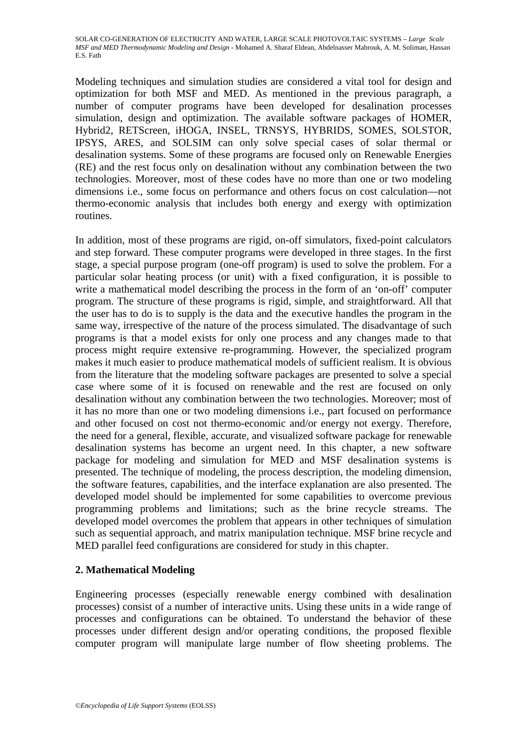Modeling techniques and simulation studies are considered a vital tool for design and optimization for both MSF and MED. As mentioned in the previous paragraph, a number of computer programs have been developed for desalination processes simulation, design and optimization. The available software packages of HOMER, Hybrid2, RETScreen, iHOGA, INSEL, TRNSYS, HYBRIDS, SOMES, SOLSTOR, IPSYS, ARES, and SOLSIM can only solve special cases of solar thermal or desalination systems. Some of these programs are focused only on Renewable Energies (RE) and the rest focus only on desalination without any combination between the two technologies. Moreover, most of these codes have no more than one or two modeling dimensions i.e., some focus on performance and others focus on cost calculation—not thermo-economic analysis that includes both energy and exergy with optimization routines.

In addition, most of these programs are rigid, on-off simulators, fixed-point calculators and step forward. These computer programs were developed in three stages. In the first stage, a special purpose program (one-off program) is used to solve the problem. For a particular solar heating process (or unit) with a fixed configuration, it is possible to write a mathematical model describing the process in the form of an 'on-off' computer program. The structure of these programs is rigid, simple, and straightforward. All that the user has to do is to supply is the data and the executive handles the program in the same way, irrespective of the nature of the process simulated. The disadvantage of such programs is that a model exists for only one process and any changes made to that process might require extensive re-programming. However, the specialized program makes it much easier to produce mathematical models of sufficient realism. It is obvious from the literature that the modeling software packages are presented to solve a special case where some of it is focused on renewable and the rest are focused on only desalination without any combination between the two technologies. Moreover; most of it has no more than one or two modeling dimensions i.e., part focused on performance and other focused on cost not thermo-economic and/or energy not exergy. Therefore, the need for a general, flexible, accurate, and visualized software package for renewable desalination systems has become an urgent need. In this chapter, a new software package for modeling and simulation for MED and MSF desalination systems is presented. The technique of modeling, the process description, the modeling dimension, the software features, capabilities, and the interface explanation are also presented. The developed model should be implemented for some capabilities to overcome previous programming problems and limitations; such as the brine recycle streams. The developed model overcomes the problem that appears in other techniques of simulation such as sequential approach, and matrix manipulation technique. MSF brine recycle and MED parallel feed configurations are considered for study in this chapter.

## **2. Mathematical Modeling**

Engineering processes (especially renewable energy combined with desalination processes) consist of a number of interactive units. Using these units in a wide range of processes and configurations can be obtained. To understand the behavior of these processes under different design and/or operating conditions, the proposed flexible computer program will manipulate large number of flow sheeting problems. The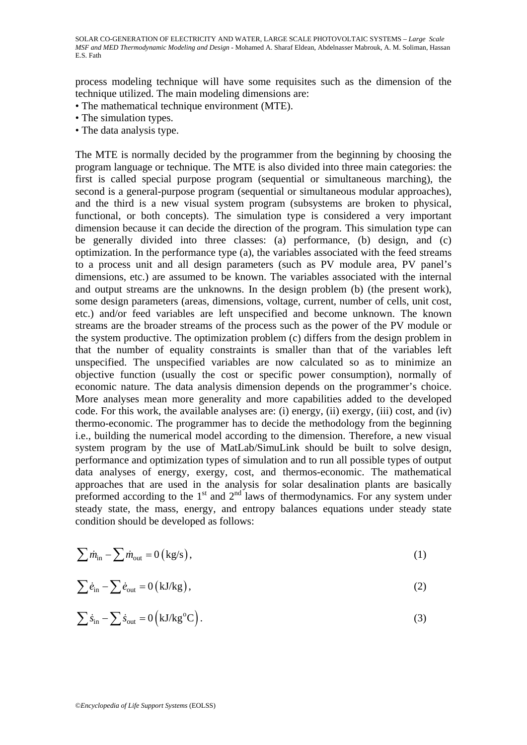process modeling technique will have some requisites such as the dimension of the technique utilized. The main modeling dimensions are:

- The mathematical technique environment (MTE).
- The simulation types.
- The data analysis type.

The MTE is normally decided by the programmer from the beginning by choosing the program language or technique. The MTE is also divided into three main categories: the first is called special purpose program (sequential or simultaneous marching), the second is a general-purpose program (sequential or simultaneous modular approaches), and the third is a new visual system program (subsystems are broken to physical, functional, or both concepts). The simulation type is considered a very important dimension because it can decide the direction of the program. This simulation type can be generally divided into three classes: (a) performance, (b) design, and (c) optimization. In the performance type (a), the variables associated with the feed streams to a process unit and all design parameters (such as PV module area, PV panel's dimensions, etc.) are assumed to be known. The variables associated with the internal and output streams are the unknowns. In the design problem (b) (the present work), some design parameters (areas, dimensions, voltage, current, number of cells, unit cost, etc.) and/or feed variables are left unspecified and become unknown. The known streams are the broader streams of the process such as the power of the PV module or the system productive. The optimization problem (c) differs from the design problem in that the number of equality constraints is smaller than that of the variables left unspecified. The unspecified variables are now calculated so as to minimize an objective function (usually the cost or specific power consumption), normally of economic nature. The data analysis dimension depends on the programmer's choice. More analyses mean more generality and more capabilities added to the developed code. For this work, the available analyses are: (i) energy, (ii) exergy, (iii) cost, and (iv) thermo-economic. The programmer has to decide the methodology from the beginning i.e., building the numerical model according to the dimension. Therefore, a new visual system program by the use of MatLab/SimuLink should be built to solve design, performance and optimization types of simulation and to run all possible types of output data analyses of energy, exergy, cost, and thermos-economic. The mathematical approaches that are used in the analysis for solar desalination plants are basically preformed according to the  $1<sup>st</sup>$  and  $2<sup>nd</sup>$  laws of thermodynamics. For any system under steady state, the mass, energy, and entropy balances equations under steady state condition should be developed as follows:

$$
\sum \dot{m}_{\rm in} - \sum \dot{m}_{\rm out} = 0 \left( \text{kg/s} \right),\tag{1}
$$

$$
\sum \dot{e}_{\rm in} - \sum \dot{e}_{\rm out} = 0 \left( kJ/kg \right), \tag{2}
$$

$$
\sum \dot{s}_{\rm in} - \sum \dot{s}_{\rm out} = 0 \left( kJ/kg^{\circ}C \right). \tag{3}
$$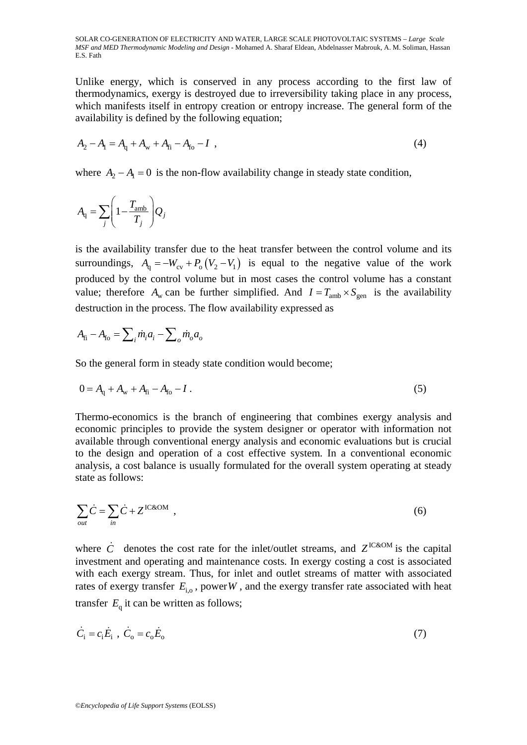Unlike energy, which is conserved in any process according to the first law of thermodynamics, exergy is destroyed due to irreversibility taking place in any process, which manifests itself in entropy creation or entropy increase. The general form of the availability is defined by the following equation;

$$
A_2 - A_1 = A_q + A_w + A_{fi} - A_{fo} - I \t\t(4)
$$

where  $A_2 - A_1 = 0$  is the non-flow availability change in steady state condition,

$$
A_{\rm q} = \sum_{j} \left( 1 - \frac{T_{\rm amb}}{T_j} \right) Q_j
$$

is the availability transfer due to the heat transfer between the control volume and its surroundings,  $A_{q} = -W_{cy} + P_{q}(V_{2} - V_{1})$  is equal to the negative value of the work produced by the control volume but in most cases the control volume has a constant value; therefore  $A_w$  can be further simplified. And  $I = T_{amb} \times S_{gen}$  is the availability destruction in the process. The flow availability expressed as

$$
A_{\rm fi} - A_{\rm fo} = \sum_i \dot{m}_i a_i - \sum_o \dot{m}_o a_o
$$

So the general form in steady state condition would become;

$$
0 = A_{q} + A_{w} + A_{fi} - A_{fo} - I.
$$
 (5)

Thermo-economics is the branch of engineering that combines exergy analysis and economic principles to provide the system designer or operator with information not available through conventional energy analysis and economic evaluations but is crucial to the design and operation of a cost effective system. In a conventional economic analysis, a cost balance is usually formulated for the overall system operating at steady state as follows:

$$
\sum_{out} \dot{C} = \sum_{in} \dot{C} + Z^{IC\&OM} \tag{6}
$$

where  $\dot{C}$  denotes the cost rate for the inlet/outlet streams, and  $Z^{IC&OM}$  is the capital investment and operating and maintenance costs. In exergy costing a cost is associated with each exergy stream. Thus, for inlet and outlet streams of matter with associated rates of exergy transfer  $E_{\text{i}o}$ , power *W*, and the exergy transfer rate associated with heat transfer  $E<sub>a</sub>$  it can be written as follows;

$$
\dot{C}_i = c_i \dot{E}_i \, , \, \dot{C}_o = c_o \dot{E}_o \tag{7}
$$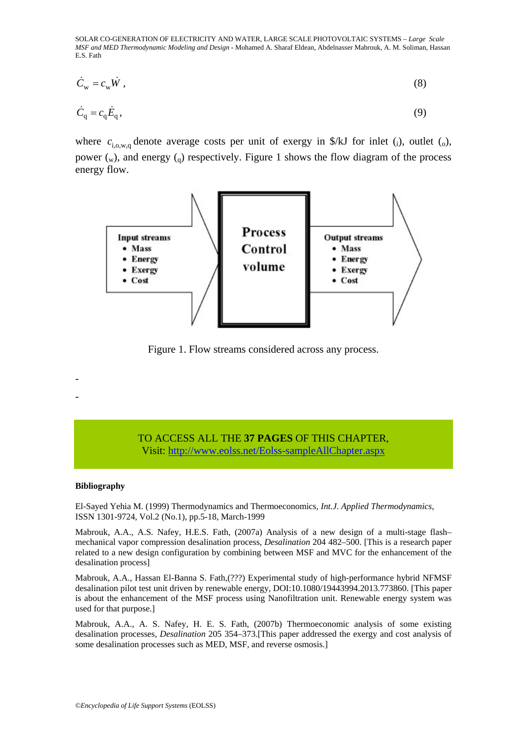$$
\dot{C}_{\rm w} = c_{\rm w} \dot{W} \,, \tag{8}
$$

$$
\dot{C}_{\mathbf{q}} = c_{\mathbf{q}} \dot{E}_{\mathbf{q}},\tag{9}
$$

where  $c_{i_0,w_0}$  denote average costs per unit of exergy in \$/kJ for inlet (i), outlet (o), power  $(w)$ , and energy  $(q)$  respectively. Figure 1 shows the flow diagram of the process energy flow.



Figure 1. Flow streams considered across any process.

#### TO ACCESS ALL THE **37 PAGES** OF THIS CHAPTER, Visit[: http://www.eolss.net/Eolss-sampleAllChapter.aspx](https://www.eolss.net/ebooklib/sc_cart.aspx?File=E6-107-15)

#### **Bibliography**

- -

El-Sayed Yehia M. (1999) Thermodynamics and Thermoeconomics, *Int.J. Applied Thermodynamics*, ISSN 1301-9724, Vol.2 (No.1), pp.5-18, March-1999

Mabrouk, A.A., A.S. Nafey, H.E.S. Fath, (2007a) Analysis of a new design of a multi-stage flash– mechanical vapor compression desalination process, *Desalination* 204 482–500. [This is a research paper related to a new design configuration by combining between MSF and MVC for the enhancement of the desalination process]

Mabrouk, A.A., Hassan El-Banna S. Fath,(???) Experimental study of high-performance hybrid NFMSF desalination pilot test unit driven by renewable energy, DOI:10.1080/19443994.2013.773860. [This paper is about the enhancement of the MSF process using Nanofiltration unit. Renewable energy system was used for that purpose.]

Mabrouk, A.A., A. S. Nafey, H. E. S. Fath, (2007b) Thermoeconomic analysis of some existing desalination processes, *Desalination* 205 354–373.[This paper addressed the exergy and cost analysis of some desalination processes such as MED, MSF, and reverse osmosis.]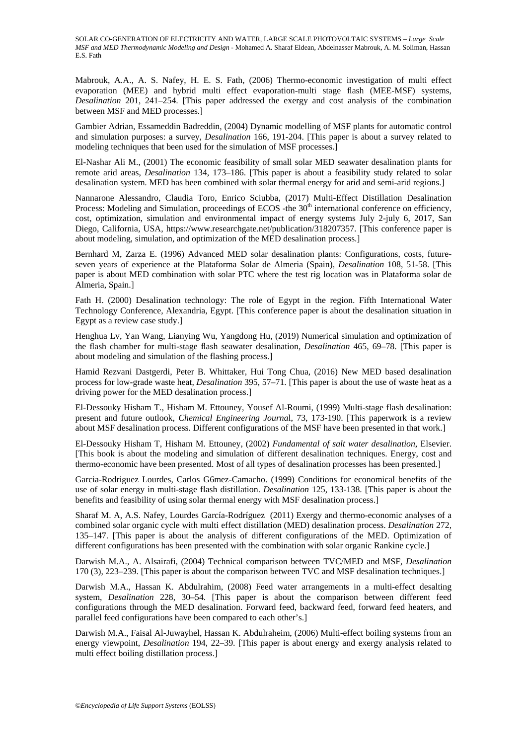Mabrouk, A.A., A. S. Nafey, H. E. S. Fath, (2006) Thermo-economic investigation of multi effect evaporation (MEE) and hybrid multi effect evaporation-multi stage flash (MEE-MSF) systems, *Desalination* 201, 241–254. [This paper addressed the exergy and cost analysis of the combination between MSF and MED processes.]

Gambier Adrian, Essameddin Badreddin, (2004) Dynamic modelling of MSF plants for automatic control and simulation purposes: a survey, *Desalination* 166, 191-204. [This paper is about a survey related to modeling techniques that been used for the simulation of MSF processes.]

El-Nashar Ali M., (2001) The economic feasibility of small solar MED seawater desalination plants for remote arid areas, *Desalination* 134, 173–186. [This paper is about a feasibility study related to solar desalination system. MED has been combined with solar thermal energy for arid and semi-arid regions.]

Nannarone Alessandro, Claudia Toro, Enrico Sciubba, (2017) Multi-Effect Distillation Desalination Process: Modeling and Simulation, proceedings of ECOS -the 30<sup>th</sup> international conference on efficiency, cost, optimization, simulation and environmental impact of energy systems July 2-july 6, 2017, San Diego, California, USA, https://www.researchgate.net/publication/318207357. [This conference paper is about modeling, simulation, and optimization of the MED desalination process.]

Bernhard M, Zarza E. (1996) Advanced MED solar desalination plants: Configurations, costs, futureseven years of experience at the Plataforma Solar de Almeria (Spain), *Desalination* 108, 51-58. [This paper is about MED combination with solar PTC where the test rig location was in Plataforma solar de Almeria, Spain.]

Fath H. (2000) Desalination technology: The role of Egypt in the region. Fifth International Water Technology Conference, Alexandria, Egypt. [This conference paper is about the desalination situation in Egypt as a review case study.]

Henghua Lv, Yan Wang, Lianying Wu, Yangdong Hu, (2019) Numerical simulation and optimization of the flash chamber for multi-stage flash seawater desalination, *Desalination* 465, 69–78. [This paper is about modeling and simulation of the flashing process.]

Hamid Rezvani Dastgerdi, Peter B. Whittaker, Hui Tong Chua, (2016) New MED based desalination process for low-grade waste heat, *Desalination* 395, 57–71. [This paper is about the use of waste heat as a driving power for the MED desalination process.]

El-Dessouky Hisham T., Hisham M. Ettouney, Yousef Al-Roumi, (1999) Multi-stage flash desalination: present and future outlook, *Chemical Engineering Journa*l, 73, 173-190. [This paperwork is a review about MSF desalination process. Different configurations of the MSF have been presented in that work.]

El-Dessouky Hisham T, Hisham M. Ettouney, (2002) *Fundamental of salt water desalination*, Elsevier. [This book is about the modeling and simulation of different desalination techniques. Energy, cost and thermo-economic have been presented. Most of all types of desalination processes has been presented.]

Garcia-Rodriguez Lourdes, Carlos G6mez-Camacho. (1999) Conditions for economical benefits of the use of solar energy in multi-stage flash distillation. *Desalination* 125, 133-138. [This paper is about the benefits and feasibility of using solar thermal energy with MSF desalination process.]

Sharaf M. A, A.S. Nafey, Lourdes García-Rodríguez (2011) Exergy and thermo-economic analyses of a combined solar organic cycle with multi effect distillation (MED) desalination process. *Desalination* 272, 135–147. [This paper is about the analysis of different configurations of the MED. Optimization of different configurations has been presented with the combination with solar organic Rankine cycle.]

Darwish M.A., A. Alsairafi, (2004) Technical comparison between TVC/MED and MSF, *Desalination* 170 (3), 223–239. [This paper is about the comparison between TVC and MSF desalination techniques.]

Darwish M.A., Hassan K. Abdulrahim, (2008) Feed water arrangements in a multi-effect desalting system, *Desalination* 228, 30–54. [This paper is about the comparison between different feed configurations through the MED desalination. Forward feed, backward feed, forward feed heaters, and parallel feed configurations have been compared to each other's.]

Darwish M.A., Faisal Al-Juwayhel, Hassan K. Abdulraheim, (2006) Multi-effect boiling systems from an energy viewpoint, *Desalination* 194, 22–39. [This paper is about energy and exergy analysis related to multi effect boiling distillation process.]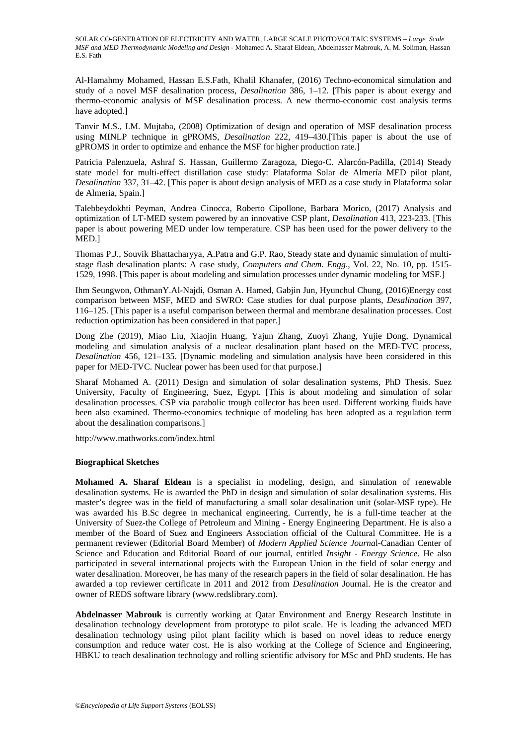Al-Hamahmy Mohamed, Hassan E.S.Fath, Khalil Khanafer, (2016) Techno-economical simulation and study of a novel MSF desalination process, *Desalination* 386, 1–12. [This paper is about exergy and thermo-economic analysis of MSF desalination process. A new thermo-economic cost analysis terms have adopted.]

Tanvir M.S., I.M. Mujtaba, (2008) Optimization of design and operation of MSF desalination process using MINLP technique in gPROMS, *Desalination* 222, 419–430.[This paper is about the use of gPROMS in order to optimize and enhance the MSF for higher production rate.]

Patricia Palenzuela, Ashraf S. Hassan, Guillermo Zaragoza, Diego-C. Alarcón-Padilla, (2014) Steady state model for multi-effect distillation case study: Plataforma Solar de Almería MED pilot plant, *Desalination* 337, 31–42. [This paper is about design analysis of MED as a case study in Plataforma solar de Almeria, Spain.]

Talebbeydokhti Peyman, Andrea Cinocca, Roberto Cipollone, Barbara Morico, (2017) Analysis and optimization of LT-MED system powered by an innovative CSP plant, *Desalination* 413, 223-233. [This paper is about powering MED under low temperature. CSP has been used for the power delivery to the MED.]

Thomas P.J., Souvik Bhattacharyya, A.Patra and G.P. Rao, Steady state and dynamic simulation of multistage flash desalination plants: A case study, *Computers and Chem. Engg*., Vol. 22, No. 10, pp. 1515- 1529, 1998. [This paper is about modeling and simulation processes under dynamic modeling for MSF.]

Ihm Seungwon, OthmanY.Al-Najdi, Osman A. Hamed, Gabjin Jun, Hyunchul Chung, (2016)Energy cost comparison between MSF, MED and SWRO: Case studies for dual purpose plants, *Desalination* 397, 116–125. [This paper is a useful comparison between thermal and membrane desalination processes. Cost reduction optimization has been considered in that paper.]

Dong Zhe (2019), Miao Liu, Xiaojin Huang, Yajun Zhang, Zuoyi Zhang, Yujie Dong, Dynamical modeling and simulation analysis of a nuclear desalination plant based on the MED-TVC process, *Desalination* 456, 121–135. [Dynamic modeling and simulation analysis have been considered in this paper for MED-TVC. Nuclear power has been used for that purpose.]

Sharaf Mohamed A. (2011) Design and simulation of solar desalination systems, PhD Thesis. Suez University, Faculty of Engineering, Suez, Egypt. [This is about modeling and simulation of solar desalination processes. CSP via parabolic trough collector has been used. Different working fluids have been also examined. Thermo-economics technique of modeling has been adopted as a regulation term about the desalination comparisons.]

http://www.mathworks.com/index.html

#### **Biographical Sketches**

**Mohamed A. Sharaf Eldean** is a specialist in modeling, design, and simulation of renewable desalination systems. He is awarded the PhD in design and simulation of solar desalination systems. His master's degree was in the field of manufacturing a small solar desalination unit (solar-MSF type). He was awarded his B.Sc degree in mechanical engineering. Currently, he is a full-time teacher at the University of Suez-the College of Petroleum and Mining - Energy Engineering Department. He is also a member of the Board of Suez and Engineers Association official of the Cultural Committee. He is a permanent reviewer (Editorial Board Member) of *Modern Applied Science Journa*l-Canadian Center of Science and Education and Editorial Board of our journal, entitled *Insight - Energy Science*. He also participated in several international projects with the European Union in the field of solar energy and water desalination. Moreover, he has many of the research papers in the field of solar desalination. He has awarded a top reviewer certificate in 2011 and 2012 from *Desalination* Journal. He is the creator and owner of REDS software library (www.redslibrary.com).

**Abdelnasser Mabrouk** is currently working at Qatar Environment and Energy Research Institute in desalination technology development from prototype to pilot scale. He is leading the advanced MED desalination technology using pilot plant facility which is based on novel ideas to reduce energy consumption and reduce water cost. He is also working at the College of Science and Engineering, HBKU to teach desalination technology and rolling scientific advisory for MSc and PhD students. He has